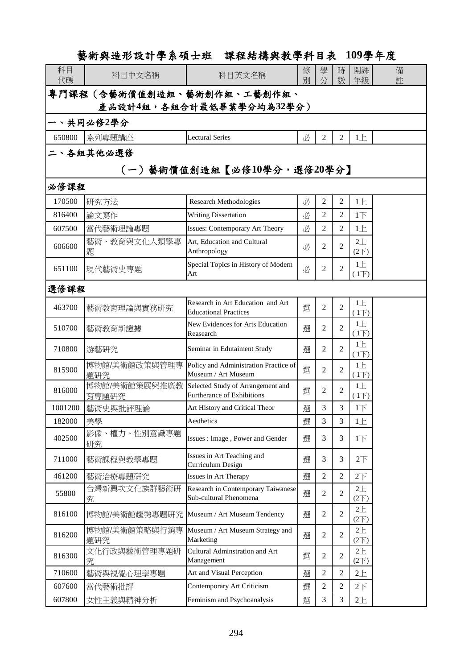## 藝術與造形設計學系碩士班 課程結構與教學科目表 **109**學年度

| 科目<br>代碼                   | 科目中文名稱                 | 科目英文名稱                                                            | 修<br>別 | 學<br>分         | 時<br>數         | 開課<br>年級                  | 備<br>註 |  |  |
|----------------------------|------------------------|-------------------------------------------------------------------|--------|----------------|----------------|---------------------------|--------|--|--|
| 專門課程(含藝術價值創造組、藝術創作組、工藝創作組、 |                        |                                                                   |        |                |                |                           |        |  |  |
| 產品設計4組,各組合計最低畢業學分均為32學分)   |                        |                                                                   |        |                |                |                           |        |  |  |
| 一、共同必修2學分                  |                        |                                                                   |        |                |                |                           |        |  |  |
| 650800                     | 系列專題講座                 | <b>Lectural Series</b>                                            | 必      | 2              | 2              | 1E                        |        |  |  |
| 、各組其他必選修                   |                        |                                                                   |        |                |                |                           |        |  |  |
| (一)藝術價值創造組【必修10學分,選修20學分】  |                        |                                                                   |        |                |                |                           |        |  |  |
| 必修課程                       |                        |                                                                   |        |                |                |                           |        |  |  |
| 170500                     | 研究方法                   | <b>Research Methodologies</b>                                     | 必      | $\overline{2}$ | $\overline{2}$ | 1E                        |        |  |  |
| 816400                     | 論文寫作                   | <b>Writing Dissertation</b>                                       | 必      | 2              | $\overline{2}$ | 1 <sub>l</sub>            |        |  |  |
| 607500                     | 當代藝術理論專題               | <b>Issues: Contemporary Art Theory</b>                            | 必      | $\overline{2}$ | 2              | 1E                        |        |  |  |
| 606600                     | 藝術、教育與文化人類學專<br>題      | Art, Education and Cultural<br>Anthropology                       | 必      | 2              | 2              | $2+$<br>(2 <sup>2</sup> ) |        |  |  |
| 651100                     | 現代藝術史專題                | Special Topics in History of Modern<br>Art                        | 必      | 2              | $\overline{2}$ | $1 \pm$<br>(1)            |        |  |  |
|                            | 選修課程                   |                                                                   |        |                |                |                           |        |  |  |
| 463700                     | 藝術教育理論與實務研究            | Research in Art Education and Art<br><b>Educational Practices</b> | 選      | $\overline{2}$ | $\overline{2}$ | $1 \pm$<br>$(1+)$         |        |  |  |
| 510700                     | 藝術教育新證據                | New Evidences for Arts Education<br>Reasearch                     | 選      | 2              | 2              | $1 \pm$<br>(1)            |        |  |  |
| 710800                     | 游藝研究                   | Seminar in Edutaiment Study                                       | 選      | 2              | $\overline{2}$ | 1E<br>$(1\overline{)}$    |        |  |  |
| 815900                     | 博物館/美術館政策與管理專<br>題研究   | Policy and Administration Practice of<br>Museum / Art Museum      | 選      | $\overline{2}$ | $\overline{2}$ | $1 \pm$<br>$(1+)$         |        |  |  |
| 816000                     | 博物館/美術館策展與推廣教<br>育專題研究 | Selected Study of Arrangement and<br>Furtherance of Exhibitions   | 選      | 2              | $\overline{2}$ | 1E<br>(1)                 |        |  |  |
| 1001200                    | 藝術史與批評理論               | Art History and Critical Theor                                    | 選      | 3              | 3              | $1\overline{1}$           |        |  |  |
| 182000                     | 美學                     | Aesthetics                                                        | 選      | 3              | 3              | $1 \pm$                   |        |  |  |
| 402500                     | 影像、權力、性別意識專題<br>研究     | Issues: Image, Power and Gender                                   | 選      | 3              | 3              | 1 <sub>l</sub>            |        |  |  |
| 711000                     | 藝術課程與教學專題              | Issues in Art Teaching and<br>Curriculum Design                   | 選      | 3              | 3              | 2 <sub>T</sub>            |        |  |  |
| 461200                     | 藝術治療專題研究               | Issues in Art Therapy                                             | 選      | $\overline{c}$ | $\overline{2}$ | 2 <sup>7</sup>            |        |  |  |
| 55800                      | 台灣新興次文化族群藝術研<br>究      | Research in Contemporary Taiwanese<br>Sub-cultural Phenomena      | 選      | 2              | $\mathfrak{2}$ | 2E<br>$(2\nabla)$         |        |  |  |
| 816100                     | 博物館/美術館趨勢專題研究          | Museum / Art Museum Tendency                                      | 選      | $\overline{c}$ | $\overline{2}$ | 2E<br>$(2\nabla)$         |        |  |  |
| 816200                     | 博物館/美術館策略與行銷專<br>題研究   | Museum / Art Museum Strategy and<br>Marketing                     | 選      | 2              | $\overline{2}$ | 2E<br>$(2\nabla)$         |        |  |  |
| 816300                     | 文化行政與藝術管理專題研<br>究      | Cultural Adminstration and Art<br>Management                      | 選      | 2              | 2              | 2E<br>$(2\nabla)$         |        |  |  |
| 710600                     | 藝術與視覺心理學專題             | Art and Visual Perception                                         | 選      | 2              | $\overline{2}$ | $2+$                      |        |  |  |
| 607600                     | 當代藝術批評                 | Contemporary Art Criticism                                        | 選      | $\overline{c}$ | $\overline{2}$ | 2 <sup>7</sup>            |        |  |  |
| 607800                     | 女性主義與精神分析              | Feminism and Psychoanalysis                                       | 選      | 3              | 3              | 2E                        |        |  |  |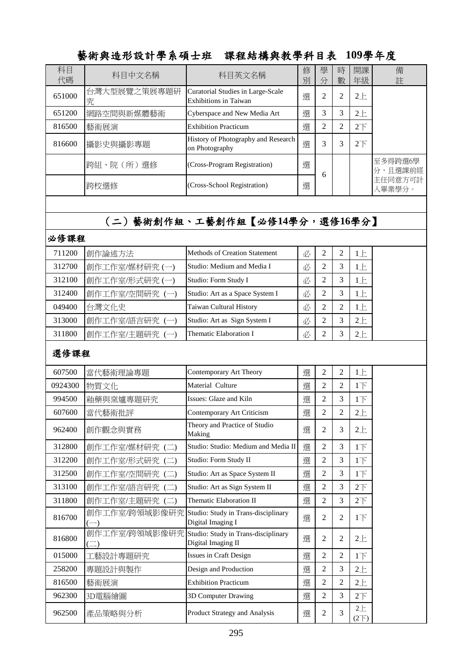|          |                             | 铢在陆傅兴教字秆日衣 IVY字干及                                                      |        |                |                |                   |                    |
|----------|-----------------------------|------------------------------------------------------------------------|--------|----------------|----------------|-------------------|--------------------|
| 科目<br>代碼 | 科目中文名稱                      | 科目英文名稱                                                                 | 修<br>別 | 學<br>分         | 時<br>數         | 開課<br>年級          | 備<br>註             |
| 651000   | 台灣大型展覽之策展專題研<br>究           | Curatorial Studies in Large-Scale<br>Exhibitions in Taiwan             | 選      | $\overline{2}$ | $\overline{2}$ | 2E                |                    |
| 651200   | 網路空間與新媒體藝術                  | Cyberspace and New Media Art                                           | 選      | 3              | 3              | $2 +$             |                    |
| 816500   | 藝術展演                        | <b>Exhibition Practicum</b>                                            | 選      | 2              | $\overline{2}$ | 2 <sup>T</sup>    |                    |
| 816600   | 攝影史與攝影專題                    | History of Photography and Research<br>on Photography                  | 選      | 3              | 3              | 2 <sup>T</sup>    |                    |
|          | 跨組、院 (所) 選修                 | (Cross-Program Registration)                                           | 選      | 6              |                |                   | 至多得跨選6學<br>分,且選課前經 |
|          | 跨校選修                        | (Cross-School Registration)                                            | 選      |                |                |                   | 主任同意方可計<br>入畢業學分。  |
|          |                             |                                                                        |        |                |                |                   |                    |
|          |                             | (二)藝術創作組、工藝創作組【必修14學分,選修16學分】                                          |        |                |                |                   |                    |
| 必修課程     |                             |                                                                        |        |                |                |                   |                    |
| 711200   | 創作論述方法                      | Methods of Creation Statement                                          | 必      | 2              | $\overline{2}$ | 1E                |                    |
| 312700   | 創作工作室/媒材研究(一)               | Studio: Medium and Media I                                             | 必      | $\mathfrak{2}$ | 3              | $1 \pm$           |                    |
| 312100   | 創作工作室/形式研究(一)               | Studio: Form Study I                                                   | 必      | 2              | 3              | 1E                |                    |
| 312400   | 創作工作室/空間研究(一)               | Studio: Art as a Space System I                                        | 必      | $\overline{c}$ | 3              | 1E                |                    |
| 049400   | 台灣文化史                       | Taiwan Cultural History                                                | 必      | 2              | $\overline{2}$ | 1E                |                    |
| 313000   | 創作工作室/語言研究(一)               | Studio: Art as Sign System I                                           | 必      | $\overline{c}$ | 3              | 2E                |                    |
| 311800   | 創作工作室/主題研究(一)               | Thematic Elaboration I                                                 | 必      | $\overline{c}$ | 3              | $2+$              |                    |
| 選修課程     |                             |                                                                        |        |                |                |                   |                    |
| 607500   | 當代藝術理論專題                    | Contemporary Art Theory                                                | 選      | $\overline{c}$ | $\overline{2}$ | 1E                |                    |
| 0924300  | 物質文化                        | Material Culture                                                       | 選      | 2              | 2              | $1\top$           |                    |
| 994500   | 釉藥與窯爐專題研究                   | Issues: Glaze and Kiln                                                 | 選      | 2              | 3              | 1 <sub>l</sub>    |                    |
| 607600   | 當代藝術批評                      | Contemporary Art Criticism                                             | 選      | $\overline{c}$ | $\overline{c}$ | 2E                |                    |
| 962400   | 創作觀念與實務                     | Theory and Practice of Studio<br>Making                                | 選      | 2              | 3              | $2 +$             |                    |
| 312800   | 創作工作室/媒材研究(二)               | Studio: Studio: Medium and Media II                                    | 選      | 2              | 3              | $1\overline{1}$   |                    |
| 312200   | 創作工作室/形式研究(二)               | Studio: Form Study II                                                  | 選      | 2              | 3              | $1\overline{1}$   |                    |
| 312500   | 創作工作室/空間研究(二)               | Studio: Art as Space System II                                         | 選      | $\overline{c}$ | 3              | $1\overline{F}$   |                    |
| 313100   | 創作工作室/語言研究 (二)              | Studio: Art as Sign System II                                          | 選      | 2              | 3              | 2 <sup>T</sup>    |                    |
| 311800   | 創作工作室/主題研究 (二)              | Thematic Elaboration II                                                | 選      | $\overline{c}$ | 3              | 2 <sup>T</sup>    |                    |
| 816700   |                             | 創作工作室/跨領域影像研究 Studio: Study in Trans-disciplinary<br>Digital Imaging I | 選      | 2              | $\overline{2}$ | $1\top$           |                    |
| 816800   | 創作工作室/跨領域影像研究<br>$(\equiv)$ | Studio: Study in Trans-disciplinary<br>Digital Imaging II              | 選      | 2              | $\mathbf{2}$   | 2E                |                    |
| 015000   | 工藝設計專題研究                    | Issues in Craft Design                                                 | 選      | 2              | $\overline{2}$ | $1\overline{1}$   |                    |
| 258200   | 專題設計與製作                     | Design and Production                                                  | 選      | $\overline{c}$ | 3              | 2E                |                    |
| 816500   | 藝術展演                        | <b>Exhibition Practicum</b>                                            | 選      | 2              | $\overline{2}$ | $2 +$             |                    |
| 962300   | 3D電腦繪圖                      | 3D Computer Drawing                                                    | 選      | 2              | 3              | 2 <sup>T</sup>    |                    |
| 962500   | 產品策略與分析                     | Product Strategy and Analysis                                          | 選      | 2              | $\mathfrak{Z}$ | 2E<br>$(2\nabla)$ |                    |

## **新征命斗形共生、谢多万!计 理但外进物址就创口主 100與左立**